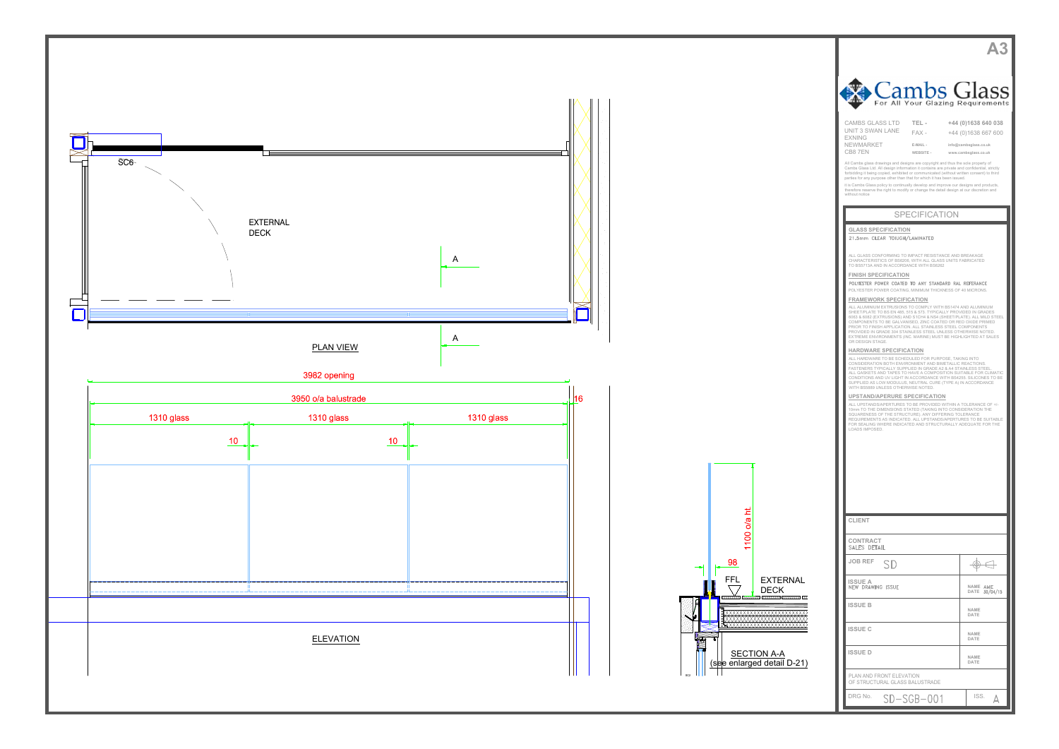



| Cambs Glass                                                                                                                                                                                                                                                                                                                                         |                                               |  |
|-----------------------------------------------------------------------------------------------------------------------------------------------------------------------------------------------------------------------------------------------------------------------------------------------------------------------------------------------------|-----------------------------------------------|--|
| For All Your Glazing Requirements                                                                                                                                                                                                                                                                                                                   |                                               |  |
| <b>CAMBS GLASS LTD</b><br>TEL-<br>UNIT 3 SWAN LANE<br>$FAX -$<br><b>EXNING</b>                                                                                                                                                                                                                                                                      | +44 (0)1638 640 038<br>+44 (0)1638 667 600    |  |
| NEWMARKET<br>E-MAIL -<br>CB87EN<br>WEBSITE -                                                                                                                                                                                                                                                                                                        | info@cambsglass.co.uk<br>www.cambsglass.co.uk |  |
| All Cambs glass drawings and designs are copyright and thus the sole property of<br>Cambs Glass Ltd. All design information it contains are private and confidential, strictly<br>forbidding it being copied, exhibited or communicated (without written consent) to third<br>parties for any purpose other than that for which it has been issued. |                                               |  |
| it is Cambs Glass policy to continually develop and improve our designs and products,<br>therefore reserve the right to modify or change the detail design at our discretion and<br>without notice                                                                                                                                                  |                                               |  |
| <b>SPECIFICATION</b>                                                                                                                                                                                                                                                                                                                                |                                               |  |
| <b>GLASS SPECIFICATION</b><br>21.5mm CLEAR TOIUGH/LAMINATED                                                                                                                                                                                                                                                                                         |                                               |  |
| ALL GLASS CONFORMING TO IMPACT RESISTANCE AND BREAKAGE<br>CHARACTERISTICS OF BS6206, WITH ALL GLASS UNITS FABRICATED                                                                                                                                                                                                                                |                                               |  |
| TO BS5713A AND IN ACCORDANCE WITH BS6262<br><b>FINISH SPECIFICATION</b><br>POLYESTER POWER COATED TO ANY STANDARD RAL REFERANCE                                                                                                                                                                                                                     |                                               |  |
| POLYESTER POWER COATING, MINIMUM THICKNESS OF 40 MICRONS.<br><b>FRAMEWORK SPECIFICATION</b>                                                                                                                                                                                                                                                         |                                               |  |
| ALL ALUMINIUM EXTRUSIONS TO COMPLY WITH BS1474 AND ALUMINIUM<br>SHEET/PLATE TO BS EN 485, 515 & 573. TYPICALLY PROVIDED IN GRADES<br>6063 & 6082 (EXTRUSIONS) AND S1CH4 & NS4 (SHEET/PLATE). ALL MILD STEEL<br>COMPONENTS TO BE GALVANISED, ZINC COATED OR RED OXIDE PRIMED                                                                         |                                               |  |
| PRIOR TO FINISH APPLICATION. ALL STAINLESS STEEL COMPONENTS<br>PROVIDED IN GRADE 304 STAINLESS STEEL UNLESS OTHERWISE NOTED.<br>EXTREME ENVIRONMENTS (INC. MARINE) MUST BE HIGHLIGHTED AT SALES<br>OR DESIGN STAGE.                                                                                                                                 |                                               |  |
| HARDWARE SPECIFICATION<br>ALL HARDWARE TO BE SCHEDULED FOR PURPOSE, TAKING INTO<br>CONSIDERATION BOTH ENVIRONMENT AND BIMETALLIC REACTIONS.                                                                                                                                                                                                         |                                               |  |
| FASTENERS TYPICALLY SUPPLIED IN GRADE A2 & A4 STAINLESS STEEL.<br>ALL GASKETS AND TAPES TO HAVE A COMPOSITION SUITABLE FOR CLIMATIC<br>CONDITIONS AND UV LIGHT IN ACCORDANCE WITH BS4255. SILICONES TO BE<br>SUPPLIED AS LOW MODULUS, NEUTRAL CURE (TYPE A) IN ACCORDANCE                                                                           |                                               |  |
| WITH BS5889 UNLESS OTHERWISE NOTED.<br>UPSTAND/APERURE SPECIFICATION<br>ALL UPSTANDS/APERTURES TO BE PROVIDED WITHIN A TOLERANCE OF +/-                                                                                                                                                                                                             |                                               |  |
| 10mm TO THE DIMENSIONS STATED (TAKING INTO CONSIDERATION THE<br>SQUARENESS OF THE STRUCTURE). ANY DIFFERING TOLERANCE<br>REQUIREMENTS AS INDICATED. ALL UPSTANDS/APERTURES TO BE SUITABLE<br>FOR SEALING WHERE INDICATED AND STRUCTURALLY ADEQUATE FOR THE                                                                                          |                                               |  |
| LOADS IMPOSED.                                                                                                                                                                                                                                                                                                                                      |                                               |  |
|                                                                                                                                                                                                                                                                                                                                                     |                                               |  |
|                                                                                                                                                                                                                                                                                                                                                     |                                               |  |
|                                                                                                                                                                                                                                                                                                                                                     |                                               |  |
| <b>CLIENT</b>                                                                                                                                                                                                                                                                                                                                       |                                               |  |
| CONTRACT<br>SALES DETAIL                                                                                                                                                                                                                                                                                                                            |                                               |  |
| <b>JOB REF</b>                                                                                                                                                                                                                                                                                                                                      | ⊕                                             |  |
| <b>ISSUE A</b><br><b>NEW DRAWING ISSUE</b>                                                                                                                                                                                                                                                                                                          | NAME AME<br><b>DATE</b><br>30/04/15           |  |
| <b>ISSUE B</b>                                                                                                                                                                                                                                                                                                                                      | NAME<br>DATE                                  |  |
| <b>ISSUE C</b>                                                                                                                                                                                                                                                                                                                                      | NAME<br>DATE                                  |  |
| <b>ISSUED</b>                                                                                                                                                                                                                                                                                                                                       | NAME<br>DATE                                  |  |
| PLAN AND FRONT ELEVATION<br>OF STRUCTURAL GLASS BALUSTRADE                                                                                                                                                                                                                                                                                          |                                               |  |
| DRG No.<br>SD-SGB-001                                                                                                                                                                                                                                                                                                                               | ISS.<br>Д                                     |  |